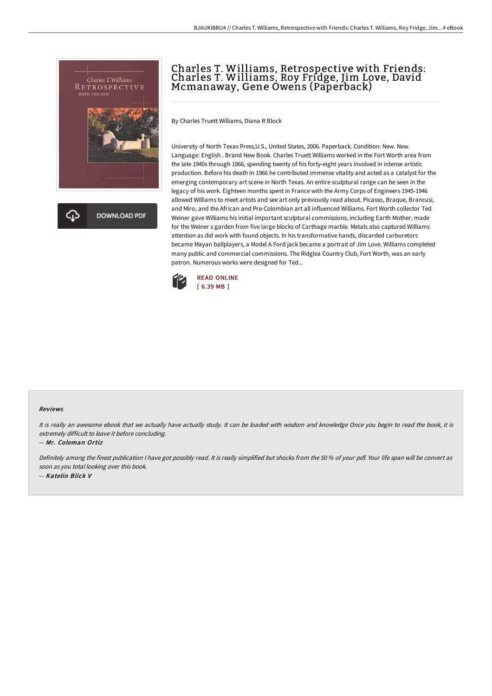

क़ **DOWNLOAD PDF** 

# Charles T. Williams, Retrospective with Friends: Charles T. Williams, Roy Fridge, Jim Love, David Mcmanaway, Gene Owens (Paperback)

By Charles Truett Williams, Diana R Block

University of North Texas Press,U.S., United States, 2006. Paperback. Condition: New. New. Language: English . Brand New Book. Charles Truett Williams worked in the Fort Worth area from the late 1940s through 1966, spending twenty of his forty-eight years involved in intense artistic production. Before his death in 1966 he contributed immense vitality and acted as a catalyst for the emerging contemporary art scene in North Texas. An entire sculptural range can be seen in the legacy of his work. Eighteen months spent in France with the Army Corps of Engineers 1945-1946 allowed Williams to meet artists and see art only previously read about. Picasso, Braque, Brancusi, and Miro, and the African and Pre-Colombian art all influenced Williams. Fort Worth collector Ted Weiner gave Williams his initial important sculptural commissions, including Earth Mother, made for the Weiner s garden from five large blocks of Carthage marble. Metals also captured Williams attention as did work with found objects. In his transformative hands, discarded carburetors became Mayan ballplayers, a Model A Ford jack became a portrait of Jim Love. Williams completed many public and commercial commissions. The Ridglea Country Club, Fort Worth, was an early patron. Numerous works were designed for Ted...



#### Reviews

It is really an awesome ebook that we actually have actually study. It can be loaded with wisdom and knowledge Once you begin to read the book, it is extremely difficult to leave it before concluding.

-- Mr. Coleman Ortiz

Definitely among the finest publication <sup>I</sup> have got possibly read. It is really simplified but shocks from the <sup>50</sup> % of your pdf. Your life span will be convert as soon as you total looking over this book. -- Katelin Blick V